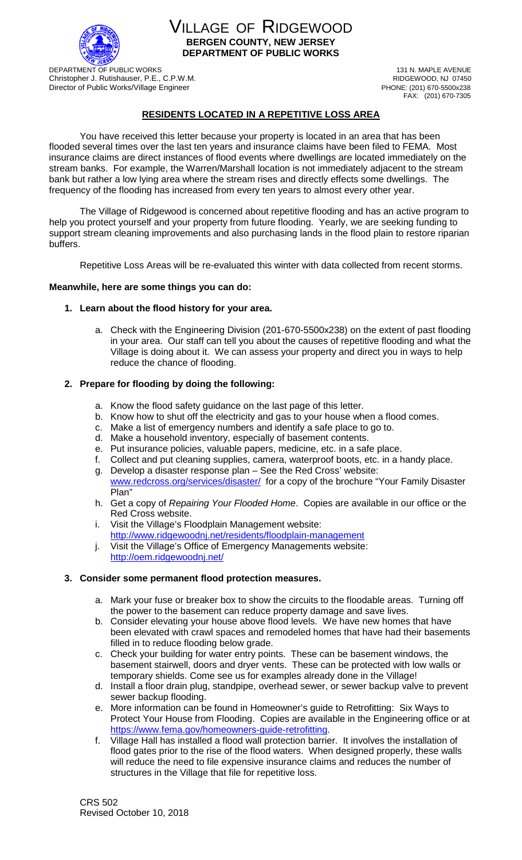

VILLAGE OF RIDGEWOOD **BERGEN COUNTY, NEW JERSEY DEPARTMENT OF PUBLIC WORKS**

DEPARTMENT OF PUBLIC WORKS<br>
Christopher J. Rutishauser. P.F., C.P.W.M.<br>
Christopher J. Rutishauser. P.F., C.P.W.M. Christopher J. Rutishauser, P.E., C.P.W.M.<br>
Director of Public Works/Village Engineer<br>
RIDGEWOOD, NJ 07450<br>
PHONE: (201) 670-5500x238 Director of Public Works/Village Engineer

FAX: (201) 670-7305

# **RESIDENTS LOCATED IN A REPETITIVE LOSS AREA**

You have received this letter because your property is located in an area that has been flooded several times over the last ten years and insurance claims have been filed to FEMA. Most insurance claims are direct instances of flood events where dwellings are located immediately on the stream banks. For example, the Warren/Marshall location is not immediately adjacent to the stream bank but rather a low lying area where the stream rises and directly effects some dwellings. The frequency of the flooding has increased from every ten years to almost every other year.

The Village of Ridgewood is concerned about repetitive flooding and has an active program to help you protect yourself and your property from future flooding. Yearly, we are seeking funding to support stream cleaning improvements and also purchasing lands in the flood plain to restore riparian buffers.

Repetitive Loss Areas will be re-evaluated this winter with data collected from recent storms.

#### **Meanwhile, here are some things you can do:**

#### **1. Learn about the flood history for your area.**

a. Check with the Engineering Division (201-670-5500x238) on the extent of past flooding in your area. Our staff can tell you about the causes of repetitive flooding and what the Village is doing about it. We can assess your property and direct you in ways to help reduce the chance of flooding.

## **2. Prepare for flooding by doing the following:**

- a. Know the flood safety guidance on the last page of this letter.
- b. Know how to shut off the electricity and gas to your house when a flood comes.
- c. Make a list of emergency numbers and identify a safe place to go to.
- d. Make a household inventory, especially of basement contents.
- e. Put insurance policies, valuable papers, medicine, etc. in a safe place.
- f. Collect and put cleaning supplies, camera, waterproof boots, etc. in a handy place.
- g. Develop a disaster response plan See the Red Cross' website: [www.redcross.org/services/disaster/](http://www.redcross.org/services/disaster/) for a copy of the brochure "Your Family Disaster Plan"
- h. Get a copy of *Repairing Your Flooded Home*. Copies are available in our office or the Red Cross website.
- i. Visit the Village's Floodplain Management website: <http://www.ridgewoodnj.net/residents/floodplain-management>
- j. Visit the Village's Office of Emergency Managements website: <http://oem.ridgewoodnj.net/>

## **3. Consider some permanent flood protection measures.**

- a. Mark your fuse or breaker box to show the circuits to the floodable areas. Turning off the power to the basement can reduce property damage and save lives.
- b. Consider elevating your house above flood levels. We have new homes that have been elevated with crawl spaces and remodeled homes that have had their basements filled in to reduce flooding below grade.
- c. Check your building for water entry points. These can be basement windows, the basement stairwell, doors and dryer vents. These can be protected with low walls or temporary shields. Come see us for examples already done in the Village!
- d. Install a floor drain plug, standpipe, overhead sewer, or sewer backup valve to prevent sewer backup flooding.
- e. More information can be found in Homeowner's guide to Retrofitting: Six Ways to Protect Your House from Flooding. Copies are available in the Engineering office or at [https://www.fema.gov/homeowners-guide-retrofitting.](https://www.fema.gov/homeowners-guide-retrofitting)
- f. Village Hall has installed a flood wall protection barrier. It involves the installation of flood gates prior to the rise of the flood waters. When designed properly, these walls will reduce the need to file expensive insurance claims and reduces the number of structures in the Village that file for repetitive loss.